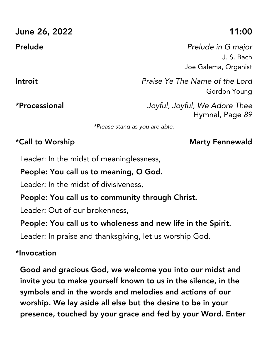| June 26, 2022  | 11:00                                                    |
|----------------|----------------------------------------------------------|
| <b>Prelude</b> | Prelude in G major<br>J. S. Bach<br>Joe Galema, Organist |
| Introit        | Praise Ye The Name of the Lord<br><b>Gordon Young</b>    |
| *Processional  | Joyful, Joyful, We Adore Thee<br>Hymnal, Page 89         |
|                | *Please stand as you are able.                           |

Leader: In the midst of meaninglessness,

#### People: You call us to meaning, O God.

Leader: In the midst of divisiveness,

#### People: You call us to community through Christ.

Leader: Out of our brokenness,

#### People: You call us to wholeness and new life in the Spirit.

Leader: In praise and thanksgiving, let us worship God.

#### \*Invocation

Good and gracious God, we welcome you into our midst and invite you to make yourself known to us in the silence, in the symbols and in the words and melodies and actions of our worship. We lay aside all else but the desire to be in your presence, touched by your grace and fed by your Word. Enter

### \*Call to Worship Notation And Marty Fennewald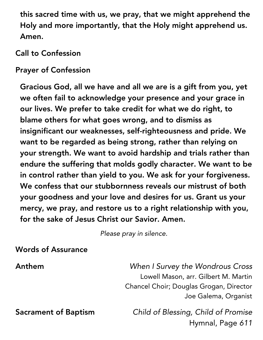this sacred time with us, we pray, that we might apprehend the Holy and more importantly, that the Holy might apprehend us. Amen.

Call to Confession

Prayer of Confession

Gracious God, all we have and all we are is a gift from you, yet we often fail to acknowledge your presence and your grace in our lives. We prefer to take credit for what we do right, to blame others for what goes wrong, and to dismiss as insignificant our weaknesses, self-righteousness and pride. We want to be regarded as being strong, rather than relying on your strength. We want to avoid hardship and trials rather than endure the suffering that molds godly character. We want to be in control rather than yield to you. We ask for your forgiveness. We confess that our stubbornness reveals our mistrust of both your goodness and your love and desires for us. Grant us your mercy, we pray, and restore us to a right relationship with you, for the sake of Jesus Christ our Savior. Amen.

*Please pray in silence.*

Words of Assurance

Anthem *When I Survey the Wondrous Cross* Lowell Mason, arr. Gilbert M. Martin Chancel Choir; Douglas Grogan, Director Joe Galema, Organist

Sacrament of Baptism *Child of Blessing, Child of Promise* Hymnal, Page *611*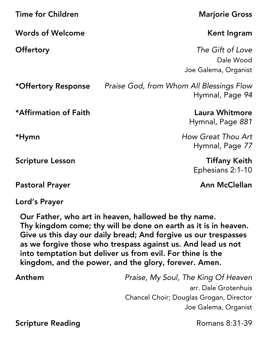| <b>Time for Children</b>     | <b>Marjorie Gross</b>                                       |
|------------------------------|-------------------------------------------------------------|
| <b>Words of Welcome</b>      | Kent Ingram                                                 |
| <b>Offertory</b>             | The Gift of Love<br>Dale Wood<br>Joe Galema, Organist       |
| *Offertory Response          | Praise God, from Whom All Blessings Flow<br>Hymnal, Page 94 |
| <b>*Affirmation of Faith</b> | <b>Laura Whitmore</b><br>Hymnal, Page 881                   |
| *Hymn                        | How Great Thou Art<br>Hymnal, Page 77                       |
| <b>Scripture Lesson</b>      | <b>Tiffany Keith</b><br>Ephesians 2:1-10                    |
| <b>Pastoral Prayer</b>       | <b>Ann McClellan</b>                                        |

Lord's Prayer

Our Father, who art in heaven, hallowed be thy name. Thy kingdom come; thy will be done on earth as it is in heaven. Give us this day our daily bread; And forgive us our trespasses as we forgive those who trespass against us. And lead us not into temptation but deliver us from evil. For thine is the kingdom, and the power, and the glory, forever. Amen.

Anthem *Praise, My Soul, The King Of Heaven* arr. Dale Grotenhuis Chancel Choir; Douglas Grogan, Director Joe Galema, Organist

Scripture Reading **Scripture Reading Romans 8:31-39**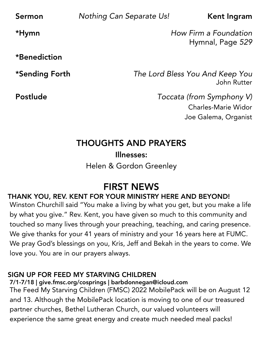**Sermon** *Nothing Can Separate Us!* **Kent Ingram** 

\*Hymn *How Firm a Foundation* Hymnal, Page *529*

\*Benediction

\*Sending Forth *The Lord Bless You And Keep You* John Rutter

Postlude *Toccata (from Symphony V)* Charles-Marie Widor Joe Galema, Organist

## THOUGHTS AND PRAYERS

Illnesses: Helen & Gordon Greenley

# FIRST NEWS

### THANK YOU, REV. KENT FOR YOUR MINISTRY HERE AND BEYOND!

Winston Churchill said "You make a living by what you get, but you make a life by what you give." Rev. Kent, you have given so much to this community and touched so many lives through your preaching, teaching, and caring presence. We give thanks for your 41 years of ministry and your 16 years here at FUMC. We pray God's blessings on you, Kris, Jeff and Bekah in the years to come. We love you. You are in our prayers always.

#### SIGN UP FOR FEED MY STARVING CHILDREN

7/1-7/18 | give.fmsc.org/cosprings | barbdonnegan@icloud.com The Feed My Starving Children (FMSC) 2022 MobilePack will be on August 12 and 13. Although the MobilePack location is moving to one of our treasured partner churches, Bethel Lutheran Church, our valued volunteers will experience the same great energy and create much needed meal packs!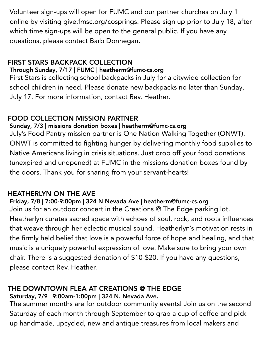Volunteer sign-ups will open for FUMC and our partner churches on July 1 online by visiting give.fmsc.org/cosprings. Please sign up prior to July 18, after which time sign-ups will be open to the general public. If you have any questions, please contact Barb Donnegan.

#### FIRST STARS BACKPACK COLLECTION

#### Through Sunday, 7/17 | FUMC | heatherm@fumc-cs.org

First Stars is collecting school backpacks in July for a citywide collection for school children in need. Please donate new backpacks no later than Sunday, July 17. For more information, contact Rev. Heather.

#### FOOD COLLECTION MISSION PARTNER

Sunday, 7/3 | missions donation boxes | heatherm@fumc-cs.org July's Food Pantry mission partner is One Nation Walking Together (ONWT). ONWT is committed to fighting hunger by delivering monthly food supplies to Native Americans living in crisis situations. Just drop off your food donations (unexpired and unopened) at FUMC in the missions donation boxes found by the doors. Thank you for sharing from your servant-hearts!

#### HEATHERLYN ON THE AVE

#### Friday, 7/8 | 7:00-9:00pm | 324 N Nevada Ave | heatherm@fumc-cs.org

Join us for an outdoor concert in the Creations @ The Edge parking lot. Heatherlyn curates sacred space with echoes of soul, rock, and roots influences that weave through her eclectic musical sound. Heatherlyn's motivation rests in the firmly held belief that love is a powerful force of hope and healing, and that music is a uniquely powerful expression of love. Make sure to bring your own chair. There is a suggested donation of \$10-\$20. If you have any questions, please contact Rev. Heather.

#### THE DOWNTOWN FLEA AT CREATIONS @ THE EDGE Saturday, 7/9 | 9:00am-1:00pm | 324 N. Nevada Ave.

The summer months are for outdoor community events! Join us on the second Saturday of each month through September to grab a cup of coffee and pick up handmade, upcycled, new and antique treasures from local makers and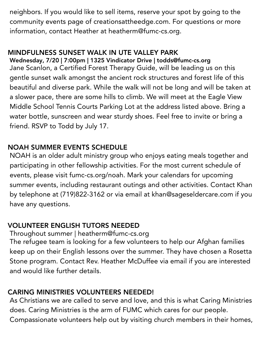neighbors. If you would like to sell items, reserve your spot by going to the community events page of creationsattheedge.com. For questions or more information, contact Heather at heatherm@fumc-cs.org.

#### MINDFULNESS SUNSET WALK IN UTE VALLEY PARK

Wednesday, 7/20 | 7:00pm | 1325 Vindicator Drive | todds@fumc-cs.org Jane Scanlon, a Certified Forest Therapy Guide, will be leading us on this gentle sunset walk amongst the ancient rock structures and forest life of this beautiful and diverse park. While the walk will not be long and will be taken at a slower pace, there are some hills to climb. We will meet at the Eagle View Middle School Tennis Courts Parking Lot at the address listed above. Bring a water bottle, sunscreen and wear sturdy shoes. Feel free to invite or bring a friend. RSVP to Todd by July 17.

#### NOAH SUMMER EVENTS SCHEDULE

NOAH is an older adult ministry group who enjoys eating meals together and participating in other fellowship activities. For the most current schedule of events, please visit fumc-cs.org/noah. Mark your calendars for upcoming summer events, including restaurant outings and other activities. Contact Khan by telephone at (719)822-3162 or via email at khan@sageseldercare.com if you have any questions.

#### VOLUNTEER ENGLISH TUTORS NEEDED

Throughout summer | heatherm@fumc-cs.org

The refugee team is looking for a few volunteers to help our Afghan families keep up on their English lessons over the summer. They have chosen a Rosetta Stone program. Contact Rev. Heather McDuffee via email if you are interested and would like further details.

#### CARING MINISTRIES VOLUNTEERS NEEDED!

As Christians we are called to serve and love, and this is what Caring Ministries does. Caring Ministries is the arm of FUMC which cares for our people. Compassionate volunteers help out by visiting church members in their homes,